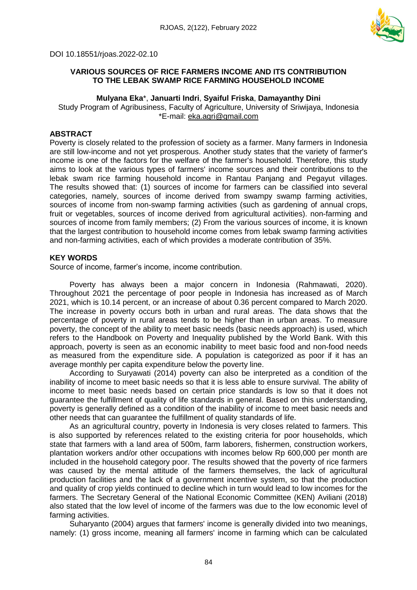

DOI 10.18551/rjoas.2022-02.10

# **VARIOUS SOURCES OF RICE FARMERS INCOME AND ITS CONTRIBUTION TO THE LEBAK SWAMP RICE FARMING HOUSEHOLD INCOME**

## **Mulyana Eka**\*, **Januarti Indri**, **Syaiful Friska**, **Damayanthy Dini**

Study Program of Agribusiness, Faculty of Agriculture, University of Sriwijaya, Indonesia \*E-mail: [eka.agri@gmail.com](mailto:eka.agri@gmail.com)

### **ABSTRACT**

Poverty is closely related to the profession of society as a farmer. Many farmers in Indonesia are still low-income and not yet prosperous. Another study states that the variety of farmer's income is one of the factors for the welfare of the farmer's household. Therefore, this study aims to look at the various types of farmers' income sources and their contributions to the lebak swam rice farming household income in Rantau Panjang and Pegayut villages. The results showed that: (1) sources of income for farmers can be classified into several categories, namely, sources of income derived from swampy swamp farming activities, sources of income from non-swamp farming activities (such as gardening of annual crops, fruit or vegetables, sources of income derived from agricultural activities). non-farming and sources of income from family members; (2) From the various sources of income, it is known that the largest contribution to household income comes from lebak swamp farming activities and non-farming activities, each of which provides a moderate contribution of 35%.

### **KEY WORDS**

Source of income, farmer's income, income contribution.

Poverty has always been a major concern in Indonesia (Rahmawati, 2020). Throughout 2021 the percentage of poor people in Indonesia has increased as of March 2021, which is 10.14 percent, or an increase of about 0.36 percent compared to March 2020. The increase in poverty occurs both in urban and rural areas. The data shows that the percentage of poverty in rural areas tends to be higher than in urban areas. To measure poverty, the concept of the ability to meet basic needs (basic needs approach) is used, which refers to the Handbook on Poverty and Inequality published by the World Bank. With this approach, poverty is seen as an economic inability to meet basic food and non-food needs as measured from the expenditure side. A population is categorized as poor if it has an average monthly per capita expenditure below the poverty line.

According to Suryawati (2014) poverty can also be interpreted as a condition of the inability of income to meet basic needs so that it is less able to ensure survival. The ability of income to meet basic needs based on certain price standards is low so that it does not guarantee the fulfillment of quality of life standards in general. Based on this understanding, poverty is generally defined as a condition of the inability of income to meet basic needs and other needs that can guarantee the fulfillment of quality standards of life.

As an agricultural country, poverty in Indonesia is very closes related to farmers. This is also supported by references related to the existing criteria for poor households, which state that farmers with a land area of 500m, farm laborers, fishermen, construction workers, plantation workers and/or other occupations with incomes below Rp 600,000 per month are included in the household category poor. The results showed that the poverty of rice farmers was caused by the mental attitude of the farmers themselves, the lack of agricultural production facilities and the lack of a government incentive system, so that the production and quality of crop yields continued to decline which in turn would lead to low incomes for the farmers. The Secretary General of the National Economic Committee (KEN) Aviliani (2018) also stated that the low level of income of the farmers was due to the low economic level of farming activities.

Suharyanto (2004) argues that farmers' income is generally divided into two meanings, namely: (1) gross income, meaning all farmers' income in farming which can be calculated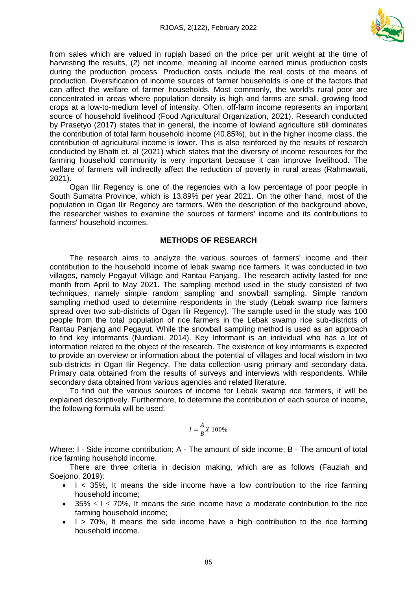

from sales which are valued in rupiah based on the price per unit weight at the time of harvesting the results, (2) net income, meaning all income earned minus production costs during the production process. Production costs include the real costs of the means of production. Diversification of income sources of farmer households is one of the factors that can affect the welfare of farmer households. Most commonly, the world's rural poor are concentrated in areas where population density is high and farms are small, growing food crops at a low-to-medium level of intensity. Often, off-farm income represents an important source of household livelihood (Food Agricultural Organization, 2021). Research conducted by Prasetyo (2017) states that in general, the income of lowland agriculture still dominates the contribution of total farm household income (40.85%), but in the higher income class, the contribution of agricultural income is lower. This is also reinforced by the results of research conducted by Bhatti et. al (2021) which states that the diversity of income resources for the farming household community is very important because it can improve livelihood. The welfare of farmers will indirectly affect the reduction of poverty in rural areas (Rahmawati, 2021).

Ogan Ilir Regency is one of the regencies with a low percentage of poor people in South Sumatra Province, which is 13.89% per year 2021. On the other hand, most of the population in Ogan Ilir Regency are farmers. With the description of the background above, the researcher wishes to examine the sources of farmers' income and its contributions to farmers' household incomes.

#### **METHODS OF RESEARCH**

The research aims to analyze the various sources of farmers' income and their contribution to the household income of lebak swamp rice farmers. It was conducted in two villages, namely Pegayut Village and Rantau Panjang. The research activity lasted for one month from April to May 2021. The sampling method used in the study consisted of two techniques, namely simple random sampling and snowball sampling. Simple random sampling method used to determine respondents in the study (Lebak swamp rice farmers spread over two sub-districts of Ogan Ilir Regency). The sample used in the study was 100 people from the total population of rice farmers in the Lebak swamp rice sub-districts of Rantau Panjang and Pegayut. While the snowball sampling method is used as an approach to find key informants (Nurdiani. 2014). Key Informant is an individual who has a lot of information related to the object of the research. The existence of key informants is expected to provide an overview or information about the potential of villages and local wisdom in two sub-districts in Ogan Ilir Regency. The data collection using primary and secondary data. Primary data obtained from the results of surveys and interviews with respondents. While secondary data obtained from various agencies and related literature.

To find out the various sources of income for Lebak swamp rice farmers, it will be explained descriptively. Furthermore, to determine the contribution of each source of income, the following formula will be used:

$$
I = \frac{A}{B}X\ 100\%
$$

Where: I - Side income contribution; A - The amount of side income; B - The amount of total rice farming household income.

There are three criteria in decision making, which are as follows (Fauziah and Soejono, 2019):

- $\bullet$   $\prime$  < 35%, It means the side income have a low contribution to the rice farming household income;
- $\bullet$  35%  $\leq$  1  $\leq$  70%, It means the side income have a moderate contribution to the rice farming household income;
- $\bullet$  I > 70%, It means the side income have a high contribution to the rice farming household income.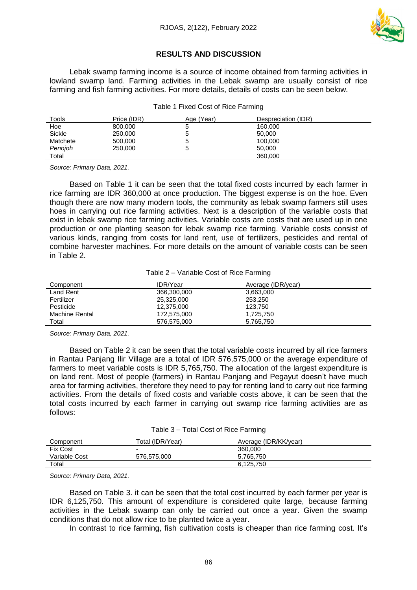

### **RESULTS AND DISCUSSION**

Lebak swamp farming income is a source of income obtained from farming activities in lowland swamp land. Farming activities in the Lebak swamp are usually consist of rice farming and fish farming activities. For more details, details of costs can be seen below.

| Table 1 Fixed Cost of Rice Farming |
|------------------------------------|
|------------------------------------|

| Tools    | Price (IDR) | Age (Year) | Despreciation (IDR) |
|----------|-------------|------------|---------------------|
| Hoe      | 800,000     |            | 160,000             |
| Sickle   | 250,000     | ວ          | 50,000              |
| Matchete | 500,000     | ວ          | 100,000             |
| Penoioh  | 250,000     |            | 50,000              |
| Total    |             |            | 360,000             |

*Source: Primary Data, 2021.*

Based on Table 1 it can be seen that the total fixed costs incurred by each farmer in rice farming are IDR 360,000 at once production. The biggest expense is on the hoe. Even though there are now many modern tools, the community as lebak swamp farmers still uses hoes in carrying out rice farming activities. Next is a description of the variable costs that exist in lebak swamp rice farming activities. Variable costs are costs that are used up in one production or one planting season for lebak swamp rice farming. Variable costs consist of various kinds, ranging from costs for land rent, use of fertilizers, pesticides and rental of combine harvester machines. For more details on the amount of variable costs can be seen in Table 2.

| IDR/Year    | Average (IDR/year) |
|-------------|--------------------|
| 366,300,000 | 3,663,000          |
| 25,325,000  | 253,250            |
| 12.375.000  | 123.750            |
| 172.575.000 | 1.725.750          |
| 576.575.000 | 5,765,750          |
|             |                    |

*Source: Primary Data, 2021.*

Based on Table 2 it can be seen that the total variable costs incurred by all rice farmers in Rantau Panjang Ilir Village are a total of IDR 576,575,000 or the average expenditure of farmers to meet variable costs is IDR 5,765,750. The allocation of the largest expenditure is on land rent. Most of people (farmers) in Rantau Panjang and Pegayut doesn't have much area for farming activities, therefore they need to pay for renting land to carry out rice farming activities. From the details of fixed costs and variable costs above, it can be seen that the total costs incurred by each farmer in carrying out swamp rice farming activities are as follows:

Table 3 – Total Cost of Rice Farming

| Component       | Total (IDR/Year)         | Average (IDR/KK/year) |
|-----------------|--------------------------|-----------------------|
| <b>Fix Cost</b> | $\overline{\phantom{0}}$ | 360,000               |
| Variable Cost   | 576,575,000              | 5.765.750             |
| Total           |                          | 6.125.750             |

*Source: Primary Data, 2021.*

Based on Table 3. it can be seen that the total cost incurred by each farmer per year is IDR 6,125,750. This amount of expenditure is considered quite large, because farming activities in the Lebak swamp can only be carried out once a year. Given the swamp conditions that do not allow rice to be planted twice a year.

In contrast to rice farming, fish cultivation costs is cheaper than rice farming cost. It's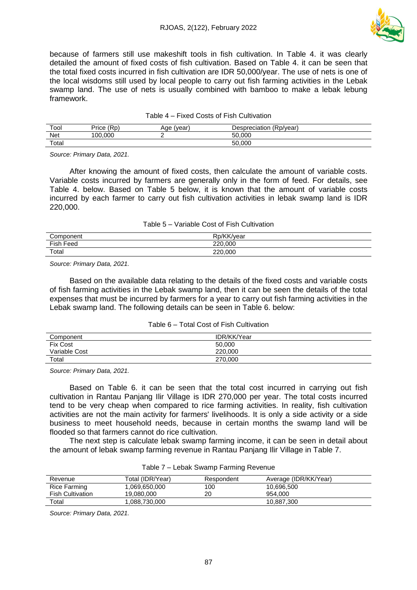

because of farmers still use makeshift tools in fish cultivation. In Table 4. it was clearly detailed the amount of fixed costs of fish cultivation. Based on Table 4. it can be seen that the total fixed costs incurred in fish cultivation are IDR 50,000/year. The use of nets is one of the local wisdoms still used by local people to carry out fish farming activities in the Lebak swamp land. The use of nets is usually combined with bamboo to make a lebak lebung framework.

#### Table 4 – Fixed Costs of Fish Cultivation

| Tool       | (Dn)<br>$P$ rice<br>ηu | (vear)<br>Aae | (Rp/vear)<br>Despreciation |  |
|------------|------------------------|---------------|----------------------------|--|
| <b>Net</b> | 100,000                | -             | .000<br>50                 |  |
| Total      |                        |               | .000<br>50                 |  |

*Source: Primary Data, 2021.*

After knowing the amount of fixed costs, then calculate the amount of variable costs. Variable costs incurred by farmers are generally only in the form of feed. For details, see Table 4. below. Based on Table 5 below, it is known that the amount of variable costs incurred by each farmer to carry out fish cultivation activities in lebak swamp land is IDR 220,000.

|  |  |  |  | Table 5 – Variable Cost of Fish Cultivation |
|--|--|--|--|---------------------------------------------|
|--|--|--|--|---------------------------------------------|

| :omponent                                           | Rp/KK/<br>eal       |
|-----------------------------------------------------|---------------------|
| Fish F<br>Feed<br><b>Contract Contract Contract</b> | 220,000<br>ZZU,     |
| Total                                               | າາ∩<br>.000<br>ZZU, |

*Source: Primary Data, 2021.*

Based on the available data relating to the details of the fixed costs and variable costs of fish farming activities in the Lebak swamp land, then it can be seen the details of the total expenses that must be incurred by farmers for a year to carry out fish farming activities in the Lebak swamp land. The following details can be seen in Table 6. below:

|  |  |  |  | Table 6 – Total Cost of Fish Cultivation |
|--|--|--|--|------------------------------------------|
|--|--|--|--|------------------------------------------|

| Component       | IDR/KK/Year |  |
|-----------------|-------------|--|
| <b>Fix Cost</b> | 50,000      |  |
| Variable Cost   | 220,000     |  |
| Total           | 270,000     |  |
|                 |             |  |

*Source: Primary Data, 2021.*

Based on Table 6. it can be seen that the total cost incurred in carrying out fish cultivation in Rantau Panjang Ilir Village is IDR 270,000 per year. The total costs incurred tend to be very cheap when compared to rice farming activities. In reality, fish cultivation activities are not the main activity for farmers' livelihoods. It is only a side activity or a side business to meet household needs, because in certain months the swamp land will be flooded so that farmers cannot do rice cultivation.

The next step is calculate lebak swamp farming income, it can be seen in detail about the amount of lebak swamp farming revenue in Rantau Panjang Ilir Village in Table 7.

| Revenue                 | Total (IDR/Year) | Respondent | Average (IDR/KK/Year) |
|-------------------------|------------------|------------|-----------------------|
| Rice Farming            | 1.069.650.000    | 100        | 10.696.500            |
| <b>Fish Cultivation</b> | 19.080.000       | 20         | 954.000               |
| Total                   | .088.730.000     |            | 10.887.300            |

| Table 7 – Lebak Swamp Farming Revenue |  |
|---------------------------------------|--|
|---------------------------------------|--|

*Source: Primary Data, 2021.*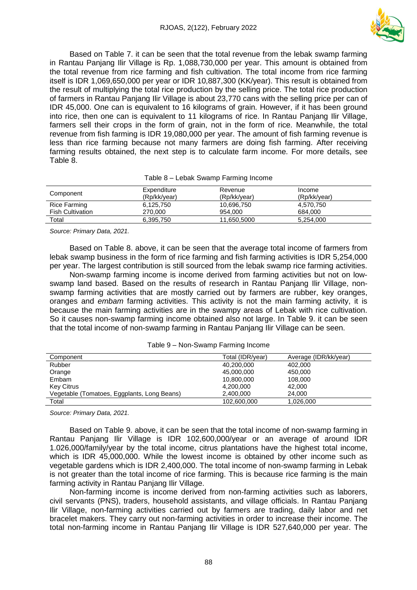

Based on Table 7. it can be seen that the total revenue from the lebak swamp farming in Rantau Panjang Ilir Village is Rp. 1,088,730,000 per year. This amount is obtained from the total revenue from rice farming and fish cultivation. The total income from rice farming itself is IDR 1,069,650,000 per year or IDR 10,887,300 (KK/year). This result is obtained from the result of multiplying the total rice production by the selling price. The total rice production of farmers in Rantau Panjang Ilir Village is about 23,770 cans with the selling price per can of IDR 45,000. One can is equivalent to 16 kilograms of grain. However, if it has been ground into rice, then one can is equivalent to 11 kilograms of rice. In Rantau Panjang Ilir Village, farmers sell their crops in the form of grain, not in the form of rice. Meanwhile, the total revenue from fish farming is IDR 19,080,000 per year. The amount of fish farming revenue is less than rice farming because not many farmers are doing fish farming. After receiving farming results obtained, the next step is to calculate farm income. For more details, see Table 8.

| Component               | Expenditure<br>(Rp/kk/year) | Revenue<br>(Rp/kk/year) | Income<br>(Rp/kk/year) |
|-------------------------|-----------------------------|-------------------------|------------------------|
| Rice Farming            | 6,125,750                   | 10,696,750              | 4.570.750              |
| <b>Fish Cultivation</b> | 270,000                     | 954.000                 | 684.000                |
| Total                   | 6,395,750                   | 11.650.5000             | 5.254.000              |

#### Table 8 – Lebak Swamp Farming Income

*Source: Primary Data, 2021.*

Based on Table 8. above, it can be seen that the average total income of farmers from lebak swamp business in the form of rice farming and fish farming activities is IDR 5,254,000 per year. The largest contribution is still sourced from the lebak swamp rice farming activities.

Non-swamp farming income is income derived from farming activities but not on lowswamp land based. Based on the results of research in Rantau Panjang Ilir Village, nonswamp farming activities that are mostly carried out by farmers are rubber, key oranges, oranges and *embam* farming activities. This activity is not the main farming activity, it is because the main farming activities are in the swampy areas of Lebak with rice cultivation. So it causes non-swamp farming income obtained also not large. In Table 9. it can be seen that the total income of non-swamp farming in Rantau Panjang Ilir Village can be seen.

| Component                                   | Total (IDR/year) | Average (IDR/kk/year) |
|---------------------------------------------|------------------|-----------------------|
| Rubber                                      | 40,200,000       | 402.000               |
| Orange                                      | 45,000,000       | 450,000               |
| Embam                                       | 10,800,000       | 108,000               |
| <b>Key Citrus</b>                           | 4,200,000        | 42,000                |
| Vegetable (Tomatoes, Eggplants, Long Beans) | 2,400,000        | 24,000                |
| Total                                       | 102,600,000      | 1.026.000             |

Table 9 – Non-Swamp Farming Income

*Source: Primary Data, 2021.*

Based on Table 9. above, it can be seen that the total income of non-swamp farming in Rantau Panjang Ilir Village is IDR 102,600,000/year or an average of around IDR 1.026,000/family/year by the total income, citrus plantations have the highest total income, which is IDR 45,000,000. While the lowest income is obtained by other income such as vegetable gardens which is IDR 2,400,000. The total income of non-swamp farming in Lebak is not greater than the total income of rice farming. This is because rice farming is the main farming activity in Rantau Panjang Ilir Village.

Non-farming income is income derived from non-farming activities such as laborers, civil servants (PNS), traders, household assistants, and village officials. In Rantau Panjang Ilir Village, non-farming activities carried out by farmers are trading, daily labor and net bracelet makers. They carry out non-farming activities in order to increase their income. The total non-farming income in Rantau Panjang Ilir Village is IDR 527,640,000 per year. The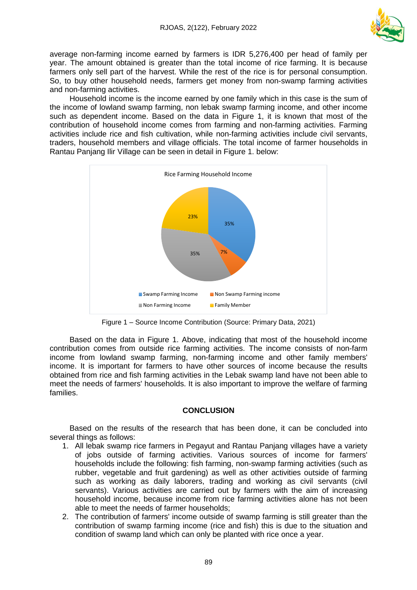

average non-farming income earned by farmers is IDR 5,276,400 per head of family per year. The amount obtained is greater than the total income of rice farming. It is because farmers only sell part of the harvest. While the rest of the rice is for personal consumption. So, to buy other household needs, farmers get money from non-swamp farming activities and non-farming activities.

Household income is the income earned by one family which in this case is the sum of the income of lowland swamp farming, non lebak swamp farming income, and other income such as dependent income. Based on the data in Figure 1, it is known that most of the contribution of household income comes from farming and non-farming activities. Farming activities include rice and fish cultivation, while non-farming activities include civil servants, traders, household members and village officials. The total income of farmer households in Rantau Panjang Ilir Village can be seen in detail in Figure 1. below:



Figure 1 – Source Income Contribution (Source: Primary Data, 2021)

Based on the data in Figure 1. Above, indicating that most of the household income contribution comes from outside rice farming activities. The income consists of non-farm income from lowland swamp farming, non-farming income and other family members' income. It is important for farmers to have other sources of income because the results obtained from rice and fish farming activities in the Lebak swamp land have not been able to meet the needs of farmers' households. It is also important to improve the welfare of farming families.

# **CONCLUSION**

Based on the results of the research that has been done, it can be concluded into several things as follows:

- 1. All lebak swamp rice farmers in Pegayut and Rantau Panjang villages have a variety of jobs outside of farming activities. Various sources of income for farmers' households include the following: fish farming, non-swamp farming activities (such as rubber, vegetable and fruit gardening) as well as other activities outside of farming such as working as daily laborers, trading and working as civil servants (civil servants). Various activities are carried out by farmers with the aim of increasing household income, because income from rice farming activities alone has not been able to meet the needs of farmer households;
- 2. The contribution of farmers' income outside of swamp farming is still greater than the contribution of swamp farming income (rice and fish) this is due to the situation and condition of swamp land which can only be planted with rice once a year.